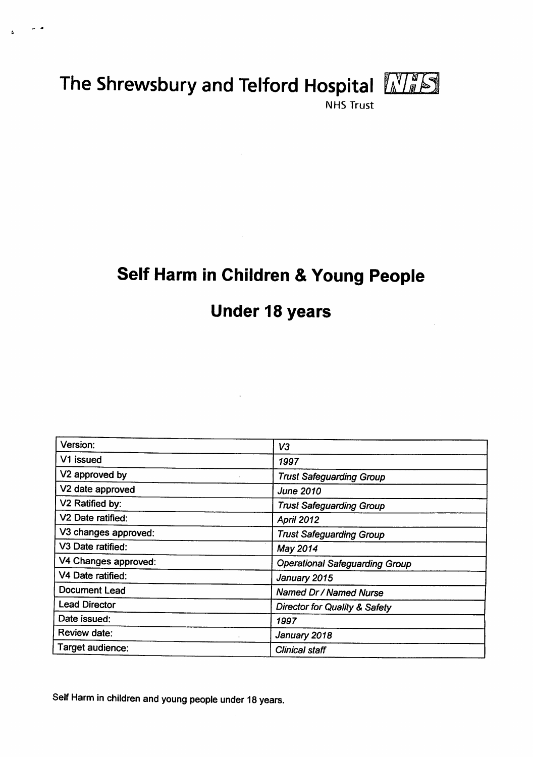# *The Shrewsbury and Telford Hospital*

 $\sim$   $\sim$ 



*NHS Trust*

# *Self Harm in Children &Young People*

# *Under 18 years*

| Version:                    | V <sub>3</sub>                           |
|-----------------------------|------------------------------------------|
| V1 issued                   | 1997                                     |
| V2 approved by              | <b>Trust Safeguarding Group</b>          |
| V2 date approved            | <b>June 2010</b>                         |
| V <sub>2</sub> Ratified by: | <b>Trust Safeguarding Group</b>          |
| V2 Date ratified:           | April 2012                               |
| V3 changes approved:        | <b>Trust Safeguarding Group</b>          |
| V3 Date ratified:           | May 2014                                 |
| V4 Changes approved:        | <b>Operational Safeguarding Group</b>    |
| V4 Date ratified:           | January 2015                             |
| Document Lead               | Named Dr / Named Nurse                   |
| <b>Lead Director</b>        | <b>Director for Quality &amp; Safety</b> |
| Date issued:                | 1997                                     |
| Review date:                | January 2018                             |
| Target audience:            | <b>Clinical staff</b>                    |

*SelfHarm in children and young people under 18 years.*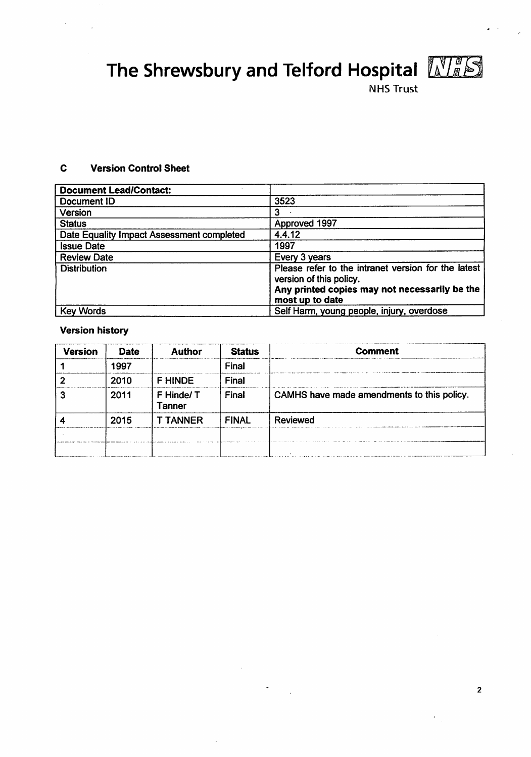*The Shrewsbury and Telford Hospital* **KIM.**



*NHS Trust*

#### $\mathbf c$ *Version Control Sheet*

| <b>Document Lead/Contact:</b>             |                                                                                                                                                    |
|-------------------------------------------|----------------------------------------------------------------------------------------------------------------------------------------------------|
| Document ID                               | 3523                                                                                                                                               |
| Version                                   | 3                                                                                                                                                  |
| <b>Status</b>                             | Approved 1997                                                                                                                                      |
| Date Equality Impact Assessment completed | 4.4.12                                                                                                                                             |
| <b>Issue Date</b>                         | 1997                                                                                                                                               |
| <b>Review Date</b>                        | Every 3 years                                                                                                                                      |
| <b>Distribution</b>                       | Please refer to the intranet version for the latest<br>version of this policy.<br>Any printed copies may not necessarily be the<br>most up to date |
| <b>Key Words</b>                          | Self Harm, young people, injury, overdose                                                                                                          |

# *Version history*

| <b>Version</b> | <b>Date</b> | <b>Author</b>       | <b>Status</b> | <b>Comment</b>                             |
|----------------|-------------|---------------------|---------------|--------------------------------------------|
|                | 1997        |                     | Final         |                                            |
|                | 2010        | <b>F HINDE</b>      | Final         |                                            |
|                | 2011        | F Hinde/T<br>Tanner | <b>Final</b>  | CAMHS have made amendments to this policy. |
|                | 2015        | <b>T TANNER</b>     | <b>FINAL</b>  | <b>Reviewed</b>                            |
|                |             |                     |               |                                            |
|                |             |                     |               |                                            |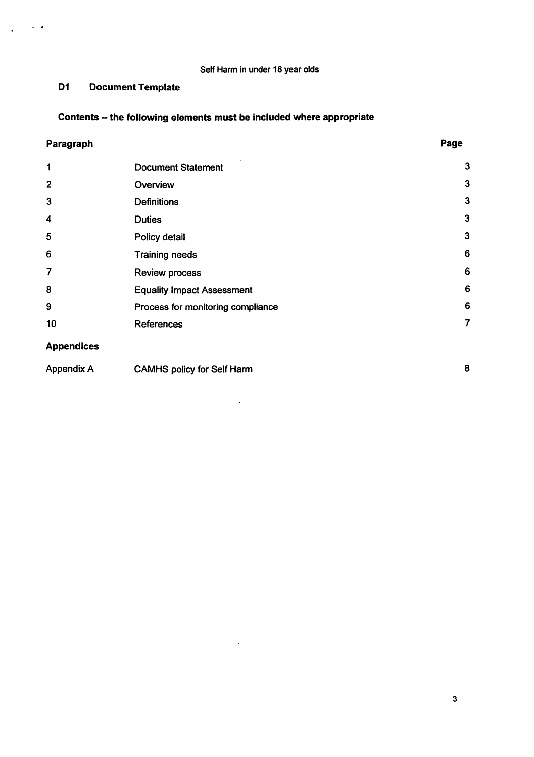# Self Harm in under 18 year olds

# *D1 Document Template*

# *Contents - the following elements must be included where appropriate*

# *Paragraph*

 $\sim$   $\sim$ 

 $\ddot{\phantom{a}}$ 

| 1                 | <b>Document Statement</b>         | 3            |
|-------------------|-----------------------------------|--------------|
| $\overline{2}$    | Overview                          | 3            |
| 3                 | <b>Definitions</b>                | 3            |
| 4                 | <b>Duties</b>                     | 3            |
| 5                 | Policy detail                     | $\mathbf{3}$ |
| 6                 | <b>Training needs</b>             | 6            |
| $\overline{7}$    | <b>Review process</b>             | 6            |
| 8                 | <b>Equality Impact Assessment</b> | 6            |
| 9                 | Process for monitoring compliance | 6            |
| 10                | <b>References</b>                 | 7            |
| <b>Appendices</b> |                                   |              |

| Appendix A | <b>CAMHS policy for Self Harm</b> |  |
|------------|-----------------------------------|--|
|            |                                   |  |

 $\bar{z}$ 

 $\ddot{\phantom{0}}$ 

 $\bar{z}$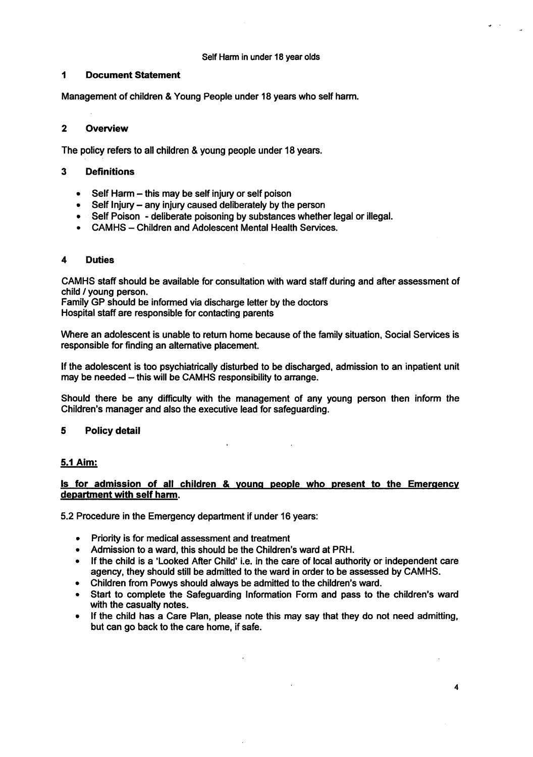#### Self Harm in under 18 year olds

### *<sup>1</sup> Document Statement*

Management of children & Young People under 18 years who self harm.

# *2 Overview*

The policy refers to all children & young people under 18 years.

# *3 Definitions*

- Self Harm this may be self injury or self poison
- $\bullet$  Self Injury any injury caused deliberately by the person
- Self Poison deliberate poisoning by substances whether legal or illegal. •
- CAMHS Children and Adolescent Mental Health Services.

# 4 *Duties*

CAMHS staff should be available for consultation with ward staff during and after assessment of child / young person.

Family GP should be informed via discharge letter by the doctors Hospital staff are responsible for contacting parents

Where an adolescent is unable to return home because of the family situation, Social Services is responsible for finding an alternative placement.

If the adolescent is too psychiatrically disturbed to be discharged, admission to an inpatient unit may be needed - this will be CAMHS responsibility to arrange.

Should there be any difficulty with the management of any young person then inform the Children's manager and also the executive lead for safeguarding.

# *5 Policy detail*

# *5.1 Aim:*

# *Is for admission of all children & vounq people who present to the Emergency department with self harm.*

5.2 Procedure in the Emergency department if under 16 years:

- Priority is for medical assessment and treatment
- Admission to a ward, this should be the Children's ward at PRH.
- If the child is a 'Looked After Child' i.e. in the care of local authority or independent care agency, they should still be admitted to the ward in order to be assessed by CAMHS.
- Children from Powys should always be admitted to the children's ward.
- Start to complete the Safeguarding Information Form and pass to the children's ward with the casualty notes.
- If the child has a Care Plan, please note this may say that they do not need admitting, but can go back to the care home, if safe.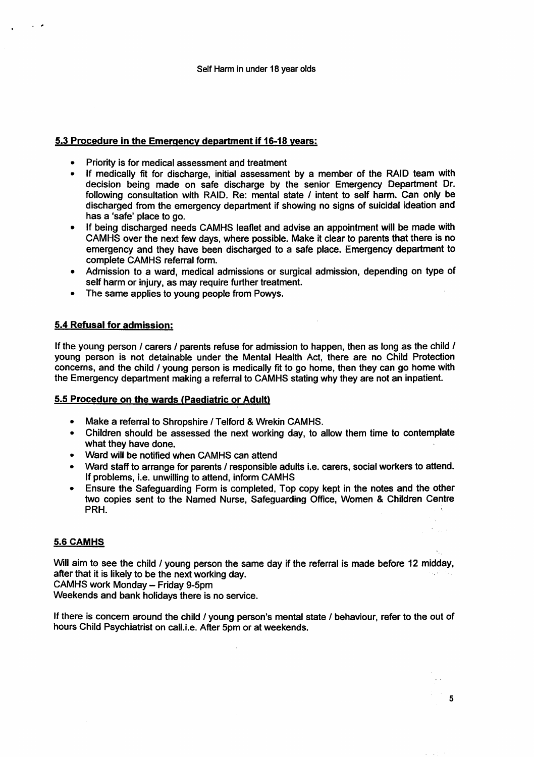# *5.3 Procedure in the Emergency department if 16-18 years:*

- *Priority is for medical assessment and treatment*
- *• If medically fit for discharge, initial assessment by a member of the RAID team with decision being made on safe discharge by the senior Emergency Department Dr. following consultation with RAID. Re: mental state / intent to self harm. Can only be discharged from the emergency department if showing no signs of suicidal ideation and has a 'safe\* place to go.*
- *If being discharged needs CAMHS leaflet and advise an appointment will be made with CAMHS over the next few days, where possible. Make it clear to parents that there is no emergency and they have been discharged to a safe place. Emergency department to complete CAMHS referral form.*
- *• Admission to a ward, medical admissions or surgical admission, depending on type of self harm or injury, as may require further treatment.*
- *• The same applies to young people from Powys.*

### *5.4 Refusal for admission:*

*Ifthe young person / carers / parents refuse for admission to happen, then as long as the child / young person is not detainable under the Mental Health Act, there are no Child Protection concerns, and the child / young person is medically fit to go home, then they can go home with the Emergency department making a referral to CAMHS stating why they are not an inpatient.*

#### *5.5 Procedure on the wards (Paediatric or Adult)*

- *Make a referral to Shropshire / Telford & Wrekin CAMHS.*
- *Children should be assessed the next working day, to allow them time to contemplate what they have done.*
- *• Ward will be notified when CAMHS can attend*
- *Ward staff to arrange for parents / responsible adults i.e. carers, social workers to attend. If problems, i.e. unwilling to attend, inform CAMHS*
- *• Ensure the Safeguarding Form is completed, Top copy kept in the notes and the other two copies sent to the Named Nurse, Safeguarding Office, Women & Children Centre PRH.*

# *5.6 CAMHS*

*Will aim to see the child / young person the same day if the referral is made before 12 midday, after that it is likely to be the next working day.*

*CAMHS work Monday - Friday 9-5pm*

*Weekends and bank holidays there is no service.*

*Ifthere is concern around the child / young person's mental state / behaviour, refer to the out of hours Child Psychiatrist on call.i.e. After 5pm or at weekends.*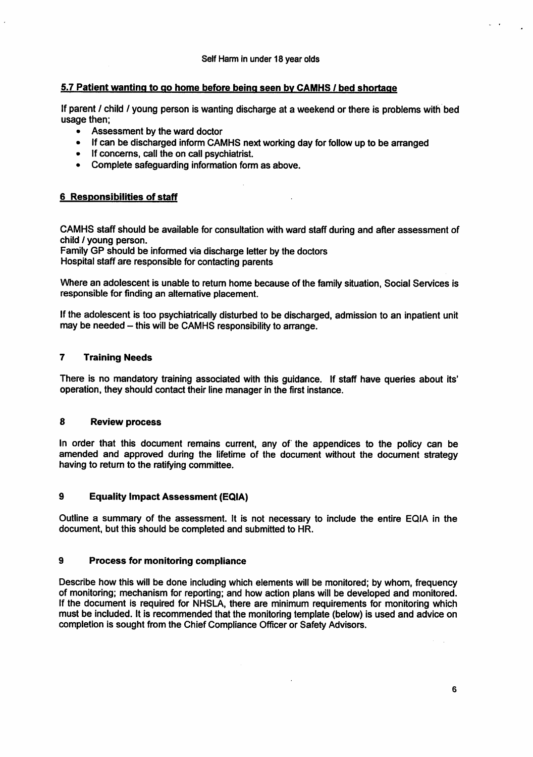# *5.7 Patient wanting to go home before being seen bv CAMHS / bed shortage*

If parent / child / young person is wanting discharge at a weekend or there is problems with bed usage then;

- Assessment by the ward doctor
- If can be discharged inform CAMHS next working day for follow up to be arranged
- If concerns, call the on call psychiatrist.
- Complete safeguarding information form as above.

### *<sup>6</sup> Responsibilities ofstaff*

CAMHS staff should be available for consultation with ward staff during and after assessment of child / young person.

 $\Delta$ 

Family GP should be informed via discharge letter by the doctors Hospital staff are responsible for contacting parents

Where an adolescent is unable to return home because of the family situation, Social Services is responsible for finding an alternative placement.

If the adolescent is too psychiatrically disturbed to be discharged, admission to an inpatient unit may be needed - this will be CAMHS responsibility to arrange.

#### *7 Training Needs*

There is no mandatory training associated with this guidance. If staff have queries about its' operation, they should contact their line manager in the first instance.

#### *8 Review process*

In order that this document remains current, any of the appendices to the policy can be amended and approved during the lifetime of the document without the document strategy having to return to the ratifying committee.

# *9 Equality Impact Assessment (EQIA)*

Outline a summary of the assessment. It is not necessary to include the entire EQIA in the document, but this should be completed and submitted to HR.

#### *9 Process for monitoring compliance*

Describe how this will be done including which elements will be monitored; by whom, frequency of monitoring; mechanism for reporting; and how action plans will be developed and monitored. If the document is required for NHSLA, there are minimum requirements for monitoring which must be included. It is recommended that the monitoring template (below) is used and advice on completion is sought from the Chief Compliance Officer or Safety Advisors.